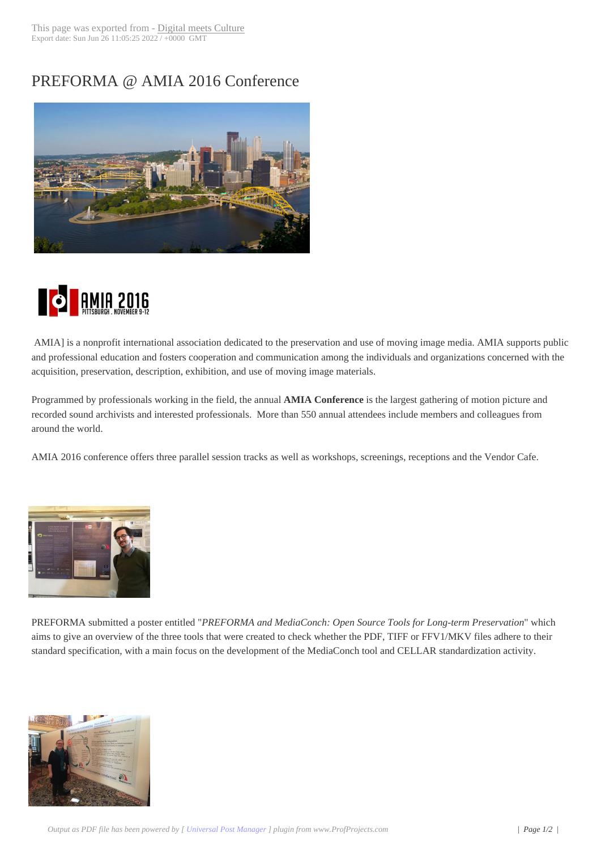## PREFORMA @ A[MIA 2016 Con](http://www.digitalmeetsculture.net/?p=42137)ference





 AMIA] is a nonprofit international association dedicated to the preservation and use of moving image media. AMIA supports public and professional education and fosters cooperation and communication among the individuals and organizations concerned with the acquisition, preservation, description, exhibition, and use of moving image materials.

Programmed by professionals working in the field, the annual **AMIA Conference** is the largest gathering of motion picture and recorded sound archivists and interested professionals. More than 550 annual attendees include members and colleagues from around the world.

AMIA 2016 conference offers three parallel session tracks as well as workshops, screenings, receptions and the Vendor Cafe.



[PREFORMA submitted a pos](http://www.digitalmeetsculture.net/wp-content/uploads/2013/12/amia1.jpg)ter entitled "*PREFORMA and MediaConch: Open Source Tools for Long-term Preservation*" which aims to give an overview of the three tools that were created to check whether the PDF, TIFF or FFV1/MKV files adhere to their standard specification, with a main focus on the development of the MediaConch tool and CELLAR standardization activity.